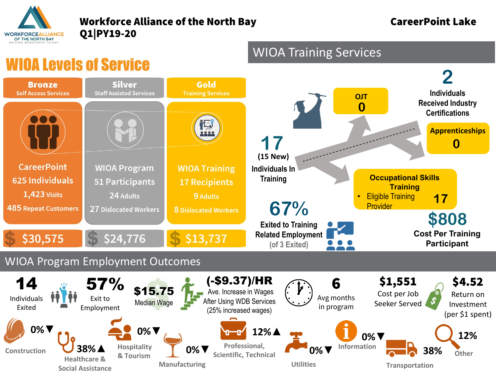

## Workforce Alliance of the North Bay **CareerPoint Lake** Q1|PY19-20